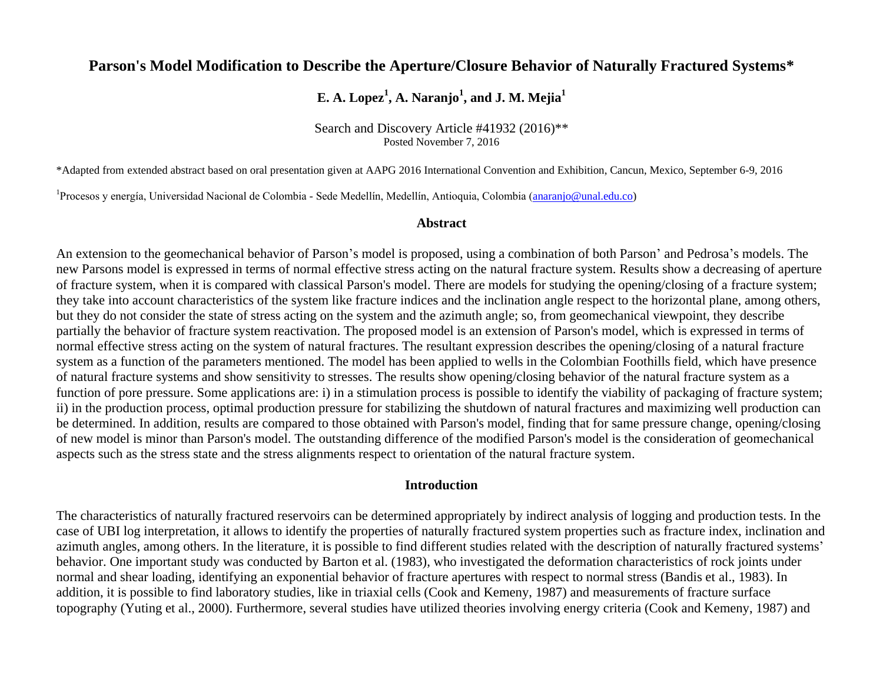## **Parson's Model Modification to Describe the Aperture/Closure Behavior of Naturally Fractured Systems\***

## **E. A. Lopez<sup>1</sup> , A. Naranjo<sup>1</sup> , and J. M. Mejia<sup>1</sup>**

Search and Discovery Article #41932 (2016)\*\* Posted November 7, 2016

\*Adapted from extended abstract based on oral presentation given at AAPG 2016 International Convention and Exhibition, Cancun, Mexico, September 6-9, 2016

<sup>1</sup>Procesos y energía, Universidad Nacional de Colombia - Sede Medellín, Medellín, Antioquia, Colombia [\(anaranjo@unal.edu.co\)](mailto:anaranjo@unal.edu.co)

#### **Abstract**

An extension to the geomechanical behavior of Parson's model is proposed, using a combination of both Parson' and Pedrosa's models. The new Parsons model is expressed in terms of normal effective stress acting on the natural fracture system. Results show a decreasing of aperture of fracture system, when it is compared with classical Parson's model. There are models for studying the opening/closing of a fracture system; they take into account characteristics of the system like fracture indices and the inclination angle respect to the horizontal plane, among others, but they do not consider the state of stress acting on the system and the azimuth angle; so, from geomechanical viewpoint, they describe partially the behavior of fracture system reactivation. The proposed model is an extension of Parson's model, which is expressed in terms of normal effective stress acting on the system of natural fractures. The resultant expression describes the opening/closing of a natural fracture system as a function of the parameters mentioned. The model has been applied to wells in the Colombian Foothills field, which have presence of natural fracture systems and show sensitivity to stresses. The results show opening/closing behavior of the natural fracture system as a function of pore pressure. Some applications are: i) in a stimulation process is possible to identify the viability of packaging of fracture system; ii) in the production process, optimal production pressure for stabilizing the shutdown of natural fractures and maximizing well production can be determined. In addition, results are compared to those obtained with Parson's model, finding that for same pressure change, opening/closing of new model is minor than Parson's model. The outstanding difference of the modified Parson's model is the consideration of geomechanical aspects such as the stress state and the stress alignments respect to orientation of the natural fracture system.

#### **Introduction**

The characteristics of naturally fractured reservoirs can be determined appropriately by indirect analysis of logging and production tests. In the case of UBI log interpretation, it allows to identify the properties of naturally fractured system properties such as fracture index, inclination and azimuth angles, among others. In the literature, it is possible to find different studies related with the description of naturally fractured systems' behavior. One important study was conducted by Barton et al. (1983), who investigated the deformation characteristics of rock joints under normal and shear loading, identifying an exponential behavior of fracture apertures with respect to normal stress (Bandis et al., 1983). In addition, it is possible to find laboratory studies, like in triaxial cells (Cook and Kemeny, 1987) and measurements of fracture surface topography (Yuting et al., 2000). Furthermore, several studies have utilized theories involving energy criteria (Cook and Kemeny, 1987) and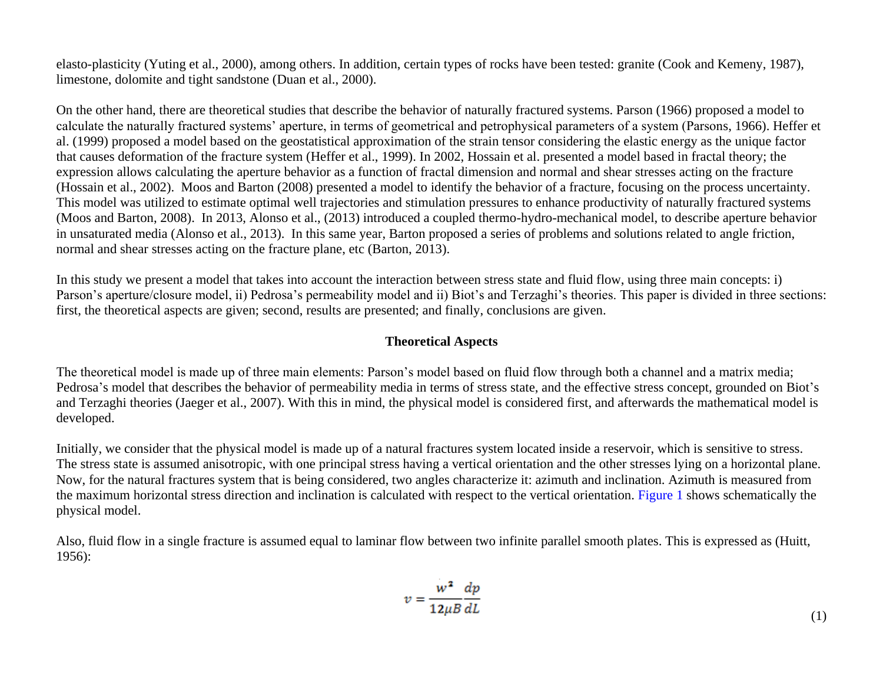elasto-plasticity (Yuting et al., 2000), among others. In addition, certain types of rocks have been tested: granite (Cook and Kemeny, 1987), limestone, dolomite and tight sandstone (Duan et al., 2000).

On the other hand, there are theoretical studies that describe the behavior of naturally fractured systems. Parson (1966) proposed a model to calculate the naturally fractured systems' aperture, in terms of geometrical and petrophysical parameters of a system (Parsons, 1966). Heffer et al. (1999) proposed a model based on the geostatistical approximation of the strain tensor considering the elastic energy as the unique factor that causes deformation of the fracture system (Heffer et al., 1999). In 2002, Hossain et al. presented a model based in fractal theory; the expression allows calculating the aperture behavior as a function of fractal dimension and normal and shear stresses acting on the fracture (Hossain et al., 2002). Moos and Barton (2008) presented a model to identify the behavior of a fracture, focusing on the process uncertainty. This model was utilized to estimate optimal well trajectories and stimulation pressures to enhance productivity of naturally fractured systems (Moos and Barton, 2008). In 2013, Alonso et al., (2013) introduced a coupled thermo-hydro-mechanical model, to describe aperture behavior in unsaturated media (Alonso et al., 2013). In this same year, Barton proposed a series of problems and solutions related to angle friction, normal and shear stresses acting on the fracture plane, etc (Barton, 2013).

In this study we present a model that takes into account the interaction between stress state and fluid flow, using three main concepts: i) Parson's aperture/closure model, ii) Pedrosa's permeability model and ii) Biot's and Terzaghi's theories. This paper is divided in three sections: first, the theoretical aspects are given; second, results are presented; and finally, conclusions are given.

## **Theoretical Aspects**

The theoretical model is made up of three main elements: Parson's model based on fluid flow through both a channel and a matrix media; Pedrosa's model that describes the behavior of permeability media in terms of stress state, and the effective stress concept, grounded on Biot's and Terzaghi theories (Jaeger et al., 2007). With this in mind, the physical model is considered first, and afterwards the mathematical model is developed.

Initially, we consider that the physical model is made up of a natural fractures system located inside a reservoir, which is sensitive to stress. The stress state is assumed anisotropic, with one principal stress having a vertical orientation and the other stresses lying on a horizontal plane. Now, for the natural fractures system that is being considered, two angles characterize it: azimuth and inclination. Azimuth is measured from the maximum horizontal stress direction and inclination is calculated with respect to the vertical orientation. [Figure 1](#page-10-0) shows schematically the physical model.

Also, fluid flow in a single fracture is assumed equal to laminar flow between two infinite parallel smooth plates. This is expressed as (Huitt, 1956):

$$
v = \frac{w^2}{12\mu B} \frac{dp}{dL}
$$
 (1)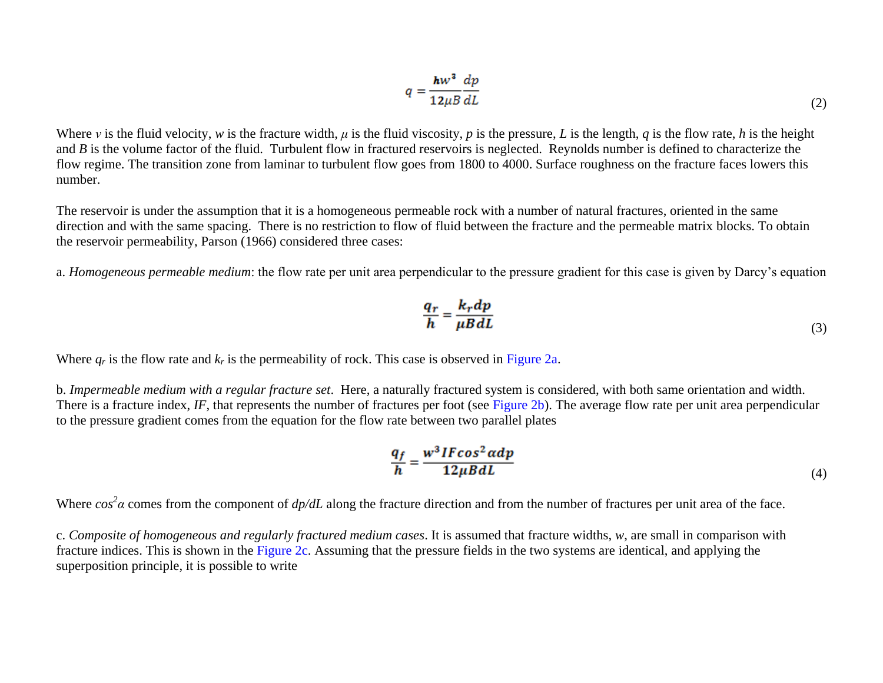$$
q = \frac{hw^3}{12\mu B} \frac{dp}{dL} \tag{2}
$$

Where *v* is the fluid velocity, *w* is the fracture width, *μ* is the fluid viscosity, *p* is the pressure, *L* is the length, *q* is the flow rate, *h* is the height and *B* is the volume factor of the fluid. Turbulent flow in fractured reservoirs is neglected. Reynolds number is defined to characterize the flow regime. The transition zone from laminar to turbulent flow goes from 1800 to 4000. Surface roughness on the fracture faces lowers this number.

The reservoir is under the assumption that it is a homogeneous permeable rock with a number of natural fractures, oriented in the same direction and with the same spacing. There is no restriction to flow of fluid between the fracture and the permeable matrix blocks. To obtain the reservoir permeability, Parson (1966) considered three cases:

a. *Homogeneous permeable medium*: the flow rate per unit area perpendicular to the pressure gradient for this case is given by Darcy's equation

$$
\frac{q_r}{h} = \frac{k_r dp}{\mu B dL} \tag{3}
$$

Where  $q_r$  is the flow rate and  $k_r$  is the permeability of rock. This case is observed in [Figure 2a.](#page-11-0)

b. *Impermeable medium with a regular fracture set*. Here, a naturally fractured system is considered, with both same orientation and width. There is a fracture index, *IF*, that represents the number of fractures per foot (see [Figure 2b](#page-11-0)). The average flow rate per unit area perpendicular to the pressure gradient comes from the equation for the flow rate between two parallel plates

$$
\frac{q_f}{h} = \frac{w^3 IF\cos^2\alpha dp}{12\mu B dL} \tag{4}
$$

Where  $\cos^2 \alpha$  comes from the component of  $dp/dL$  along the fracture direction and from the number of fractures per unit area of the face.

c. *Composite of homogeneous and regularly fractured medium cases*. It is assumed that fracture widths, *w*, are small in comparison with fracture indices. This is shown in the [Figure 2c.](#page-11-0) Assuming that the pressure fields in the two systems are identical, and applying the superposition principle, it is possible to write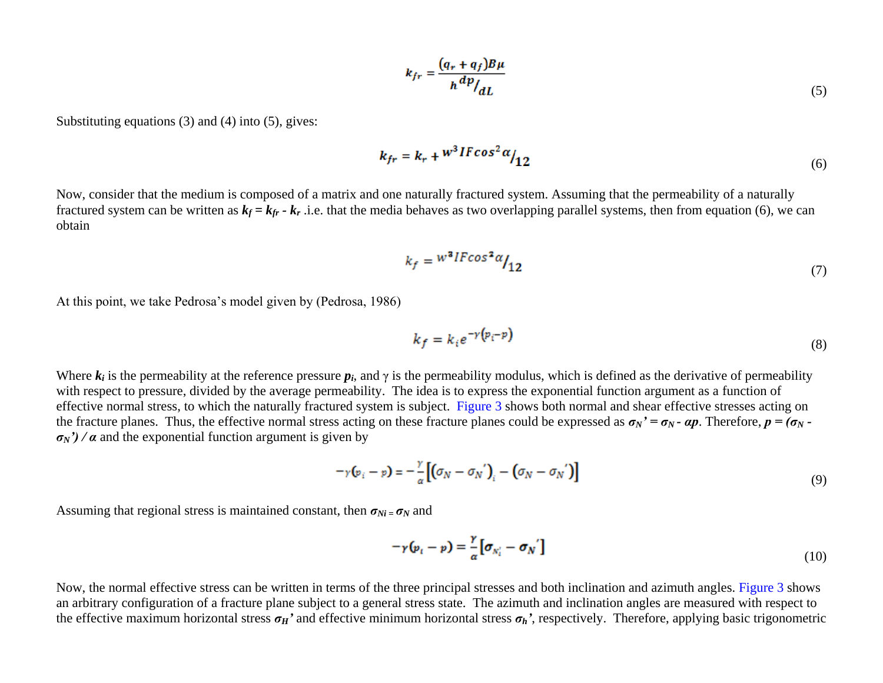$$
k_{fr} = \frac{(q_r + q_f)B\mu}{h^{dp}/dL} \tag{5}
$$

Substituting equations (3) and (4) into (5), gives:

$$
k_{fr} = k_r + w^3 IFcos^2 \alpha /_{12}
$$
\n<sup>(6)</sup>

Now, consider that the medium is composed of a matrix and one naturally fractured system. Assuming that the permeability of a naturally fractured system can be written as  $k_f = k_f - k_r$ .i.e. that the media behaves as two overlapping parallel systems, then from equation (6), we can obtain

$$
k_f = \frac{w^3 l F \cos^2 \alpha}{12} \tag{7}
$$

At this point, we take Pedrosa's model given by (Pedrosa, 1986)

$$
k_f = k_i e^{-\gamma (p_i - p)}\tag{8}
$$

Where  $k_i$  is the permeability at the reference pressure  $p_i$ , and  $\gamma$  is the permeability modulus, which is defined as the derivative of permeability with respect to pressure, divided by the average permeability. The idea is to express the exponential function argument as a function of effective normal stress, to which the naturally fractured system is subject. [Figure 3](#page-12-0) shows both normal and shear effective stresses acting on the fracture planes. Thus, the effective normal stress acting on these fracture planes could be expressed as  $\sigma_N' = \sigma_N$ -  $\alpha p$ . Therefore,  $p = (\sigma_N - \sigma_N)$  $\sigma_N$ <sup>'</sup>) /  $\alpha$  and the exponential function argument is given by

$$
-\gamma(\mathbf{p}_i - \mathbf{p}) = -\frac{\gamma}{\alpha} \left[ \left( \sigma_N - \sigma_N' \right)_i - \left( \sigma_N - \sigma_N' \right) \right] \tag{9}
$$

Assuming that regional stress is maintained constant, then  $\sigma_{Ni} = \sigma_N$  and

$$
-\gamma(\mathbf{p}_i - \mathbf{p}) = \frac{\gamma}{\alpha} [\boldsymbol{\sigma}_{N_i'} - \boldsymbol{\sigma}_N'] \tag{10}
$$

Now, the normal effective stress can be written in terms of the three principal stresses and both inclination and azimuth angles. Figure 3 shows an arbitrary configuration of a fracture plane subject to a general stress state. The azimuth and inclination angles are measured with respect to the effective maximum horizontal stress  $\sigma_H$ <sup>*'*</sup> and effective minimum horizontal stress  $\sigma_h$ <sup>'</sup>, respectively. Therefore, applying basic trigonometric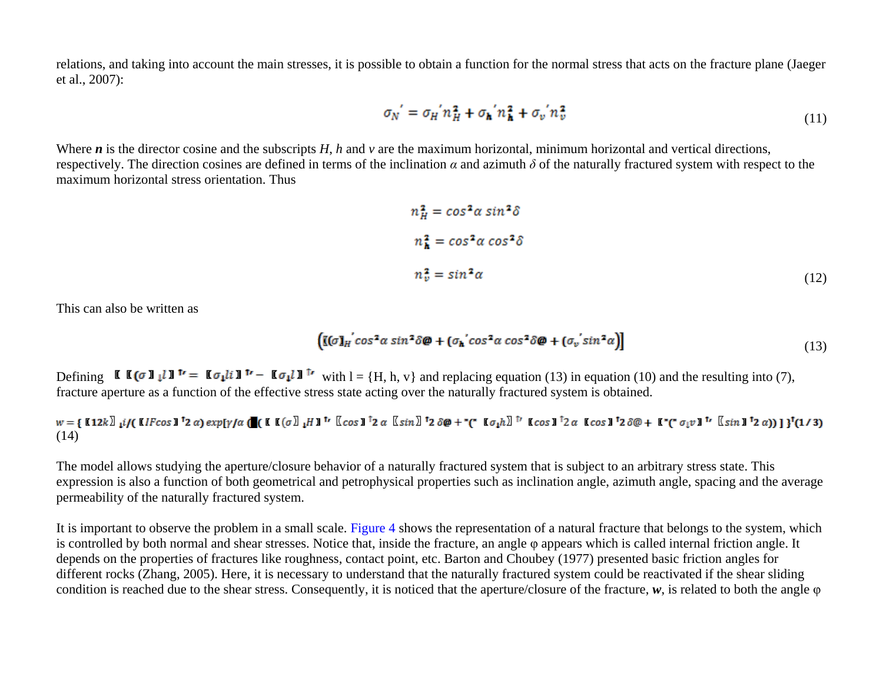relations, and taking into account the main stresses, it is possible to obtain a function for the normal stress that acts on the fracture plane (Jaeger et al., 2007):

$$
\sigma_N' = \sigma_H' n_H^2 + \sigma_h' n_h^2 + \sigma_v' n_v^2 \tag{11}
$$

Where *n* is the director cosine and the subscripts *H*, *h* and *v* are the maximum horizontal, minimum horizontal and vertical directions, respectively. The direction cosines are defined in terms of the inclination *α* and azimuth *δ* of the naturally fractured system with respect to the maximum horizontal stress orientation. Thus

$$
n_H^2 = \cos^2 \alpha \sin^2 \delta
$$
  
\n
$$
n_h^2 = \cos^2 \alpha \cos^2 \delta
$$
  
\n
$$
n_v^2 = \sin^2 \alpha
$$
 (12)

This can also be written as

$$
\left( \left[ \left( \sigma \right) \right]_{H}^{\prime} \cos^{2} \alpha \sin^{2} \delta \phi + \left( \sigma_{h}^{\prime} \cos^{2} \alpha \cos^{2} \delta \phi + \left( \sigma_{v}^{\prime} \sin^{2} \alpha \right) \right] \tag{13}
$$

Defining  $\mathbf{K}(\sigma)$   $\mathbf{I}$   $\sigma$   $\mathbf{I}$   $\sigma$   $\mathbf{I}$   $\sigma$   $\sigma$   $\mathbf{I}$   $\sigma$   $\sigma$   $\mathbf{I}$   $\sigma$   $\sigma$   $\mathbf{I}$   $\sigma$   $\mathbf{I}$   $\sigma$   $\mathbf{I}$   $\sigma$   $\mathbf{I}$   $\sigma$   $\mathbf{I}$   $\sigma$   $\mathbf{I}$   $\sigma$   $\sigma$   $\mathbf{I}$   $\sigma$   $\mathbf{I}$   $\sigma$ fracture aperture as a function of the effective stress state acting over the naturally fractured system is obtained.

$$
w = \text{[12k]}_1 \text{if} \text{[1}F\cos 1^\dagger 2 \alpha) \exp[\gamma/\alpha \text{[1} \text{[1} \text{[0} \text{[0} \text{[0} \text{[0} \text{[0} \text{[0} \text{[0} \text{[0} \text{[0} \text{[0} \text{[0} \text{[0} \text{[0} \text{[0} \text{[0} \text{[0} \text{[0} \text{[0} \text{[0} \text{[0} \text{[0} \text{[0} \text{[0} \text{[0} \text{[0} \text{[0} \text{[0} \text{[0} \text{[0} \text{[0} \text{[0} \text{[0} \text{[0} \text{[0} \text{[0} \text{[0} \text{[0} \text{[0} \text{[0} \text{[0} \text{[0} \text{[0} \text{[0} \text{[0} \text{[0} \text{[0} \text{[0} \text{[0} \text{[0} \text{[0} \text{[0} \text{[0} \text{[0} \text{[0} \text{[0} \text{[0} \text{[0} \text{[0} \text{[0} \text{[0} \text{[0} \text{[0} \text{[0} \text{[0} \text{[0} \text{[0} \text{[0} \text{[0} \text{[0} \text{[0} \text{[0} \text{[0} \text{[0} \text{[0} \text{[0} \text{[0} \text{[0} \text{[0} \text{[0} \text{[0} \text{[0} \text{[0} \text{[0} \text{[0} \text{[0} \text{[0} \text{[0} \text{[0} \text{[0} \text{[0} \text{[0} \text{[0} \text{[0} \text{[0} \text{[0} \text{[0} \text{[0} \text{[0} \text{[0} \text{[0} \text{[0} \text{[0} \text{[0} \text{[0} \text{[0} \text{[0} \text{[0} \text{[0} \text{[0} \text{[0} \text{[0} \text{[0} \text{[0} \text{[0} \text{[0} \text{[0} \text{[0} \text{
$$

The model allows studying the aperture/closure behavior of a naturally fractured system that is subject to an arbitrary stress state. This expression is also a function of both geometrical and petrophysical properties such as inclination angle, azimuth angle, spacing and the average permeability of the naturally fractured system.

It is important to observe the problem in a small scale. [Figure 4](#page-13-0) shows the representation of a natural fracture that belongs to the system, which is controlled by both normal and shear stresses. Notice that, inside the fracture, an angle φ appears which is called internal friction angle. It depends on the properties of fractures like roughness, contact point, etc. Barton and Choubey (1977) presented basic friction angles for different rocks (Zhang, 2005). Here, it is necessary to understand that the naturally fractured system could be reactivated if the shear sliding condition is reached due to the shear stress. Consequently, it is noticed that the aperture/closure of the fracture, *w*, is related to both the angle φ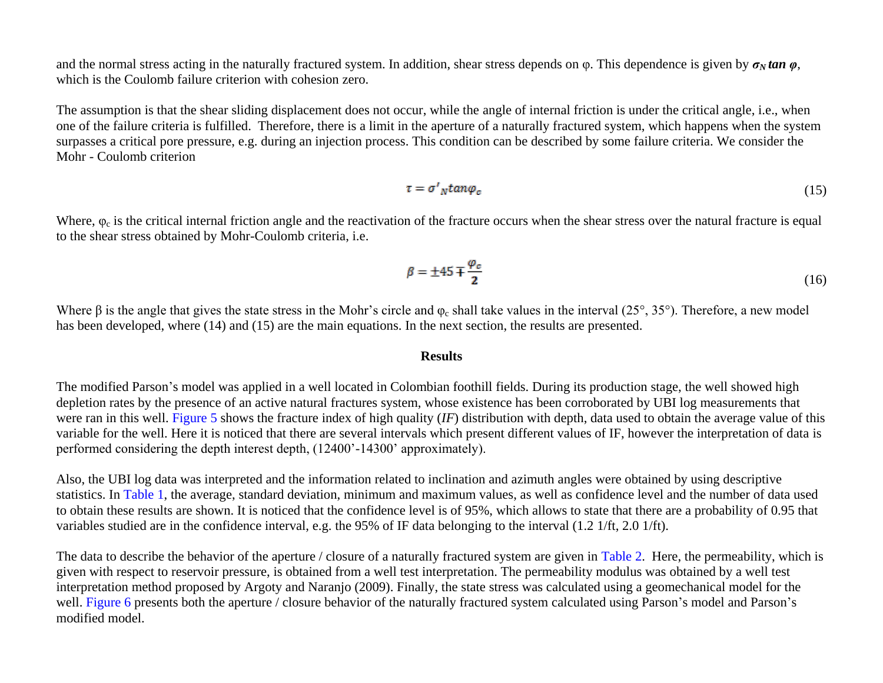and the normal stress acting in the naturally fractured system. In addition, shear stress depends on  $\varphi$ . This dependence is given by  $\sigma_N \tan \varphi$ , which is the Coulomb failure criterion with cohesion zero.

The assumption is that the shear sliding displacement does not occur, while the angle of internal friction is under the critical angle, i.e., when one of the failure criteria is fulfilled. Therefore, there is a limit in the aperture of a naturally fractured system, which happens when the system surpasses a critical pore pressure, e.g. during an injection process. This condition can be described by some failure criteria. We consider the Mohr - Coulomb criterion

$$
\tau = \sigma'_{N} \tan \varphi_{c} \tag{15}
$$

Where,  $\varphi_c$  is the critical internal friction angle and the reactivation of the fracture occurs when the shear stress over the natural fracture is equal to the shear stress obtained by Mohr-Coulomb criteria, i.e.

$$
\beta = \pm 45 \mp \frac{\varphi_c}{2} \tag{16}
$$

Where β is the angle that gives the state stress in the Mohr's circle and  $φ<sub>c</sub>$  shall take values in the interval (25°, 35°). Therefore, a new model has been developed, where (14) and (15) are the main equations. In the next section, the results are presented.

#### **Results**

The modified Parson's model was applied in a well located in Colombian foothill fields. During its production stage, the well showed high depletion rates by the presence of an active natural fractures system, whose existence has been corroborated by UBI log measurements that were ran in this well. [Figure 5](#page-14-0) shows the fracture index of high quality (*IF*) distribution with depth, data used to obtain the average value of this variable for the well. Here it is noticed that there are several intervals which present different values of IF, however the interpretation of data is performed considering the depth interest depth, (12400'-14300' approximately).

Also, the UBI log data was interpreted and the information related to inclination and azimuth angles were obtained by using descriptive statistics. In [Table 1,](#page-18-0) the average, standard deviation, minimum and maximum values, as well as confidence level and the number of data used to obtain these results are shown. It is noticed that the confidence level is of 95%, which allows to state that there are a probability of 0.95 that variables studied are in the confidence interval, e.g. the 95% of IF data belonging to the interval (1.2 1/ft, 2.0 1/ft).

The data to describe the behavior of the aperture / closure of a naturally fractured system are given in [Table 2.](#page-19-0) Here, the permeability, which is given with respect to reservoir pressure, is obtained from a well test interpretation. The permeability modulus was obtained by a well test interpretation method proposed by Argoty and Naranjo (2009). Finally, the state stress was calculated using a geomechanical model for the well. [Figure 6](#page-15-0) presents both the aperture / closure behavior of the naturally fractured system calculated using Parson's model and Parson's modified model.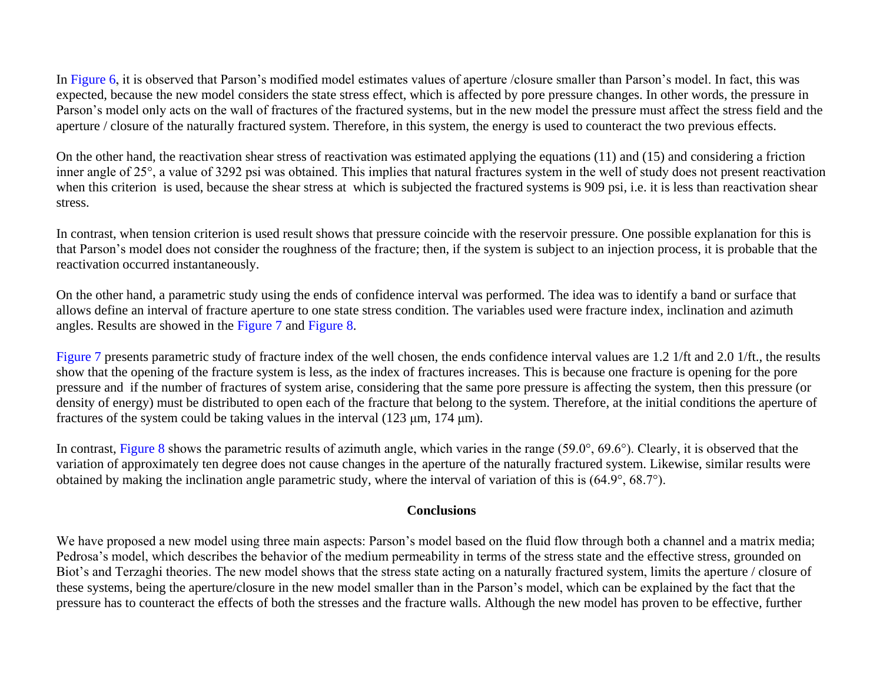In [Figure 6,](#page-15-0) it is observed that Parson's modified model estimates values of aperture /closure smaller than Parson's model. In fact, this was expected, because the new model considers the state stress effect, which is affected by pore pressure changes. In other words, the pressure in Parson's model only acts on the wall of fractures of the fractured systems, but in the new model the pressure must affect the stress field and the aperture / closure of the naturally fractured system. Therefore, in this system, the energy is used to counteract the two previous effects.

On the other hand, the reactivation shear stress of reactivation was estimated applying the equations (11) and (15) and considering a friction inner angle of 25°, a value of 3292 psi was obtained. This implies that natural fractures system in the well of study does not present reactivation when this criterion is used, because the shear stress at which is subjected the fractured systems is 909 psi, i.e. it is less than reactivation shear stress.

In contrast, when tension criterion is used result shows that pressure coincide with the reservoir pressure. One possible explanation for this is that Parson's model does not consider the roughness of the fracture; then, if the system is subject to an injection process, it is probable that the reactivation occurred instantaneously.

On the other hand, a parametric study using the ends of confidence interval was performed. The idea was to identify a band or surface that allows define an interval of fracture aperture to one state stress condition. The variables used were fracture index, inclination and azimuth angles. Results are showed in the [Figure 7](#page-16-0) and [Figure 8.](#page-17-0)

[Figure 7](#page-16-0) presents parametric study of fracture index of the well chosen, the ends confidence interval values are 1.2 1/ft and 2.0 1/ft., the results show that the opening of the fracture system is less, as the index of fractures increases. This is because one fracture is opening for the pore pressure and if the number of fractures of system arise, considering that the same pore pressure is affecting the system, then this pressure (or density of energy) must be distributed to open each of the fracture that belong to the system. Therefore, at the initial conditions the aperture of fractures of the system could be taking values in the interval  $(123 \mu m, 174 \mu m)$ .

In contrast, [Figure 8](#page-17-0) shows the parametric results of azimuth angle, which varies in the range (59.0°, 69.6°). Clearly, it is observed that the variation of approximately ten degree does not cause changes in the aperture of the naturally fractured system. Likewise, similar results were obtained by making the inclination angle parametric study, where the interval of variation of this is (64.9°, 68.7°).

### **Conclusions**

We have proposed a new model using three main aspects: Parson's model based on the fluid flow through both a channel and a matrix media; Pedrosa's model, which describes the behavior of the medium permeability in terms of the stress state and the effective stress, grounded on Biot's and Terzaghi theories. The new model shows that the stress state acting on a naturally fractured system, limits the aperture / closure of these systems, being the aperture/closure in the new model smaller than in the Parson's model, which can be explained by the fact that the pressure has to counteract the effects of both the stresses and the fracture walls. Although the new model has proven to be effective, further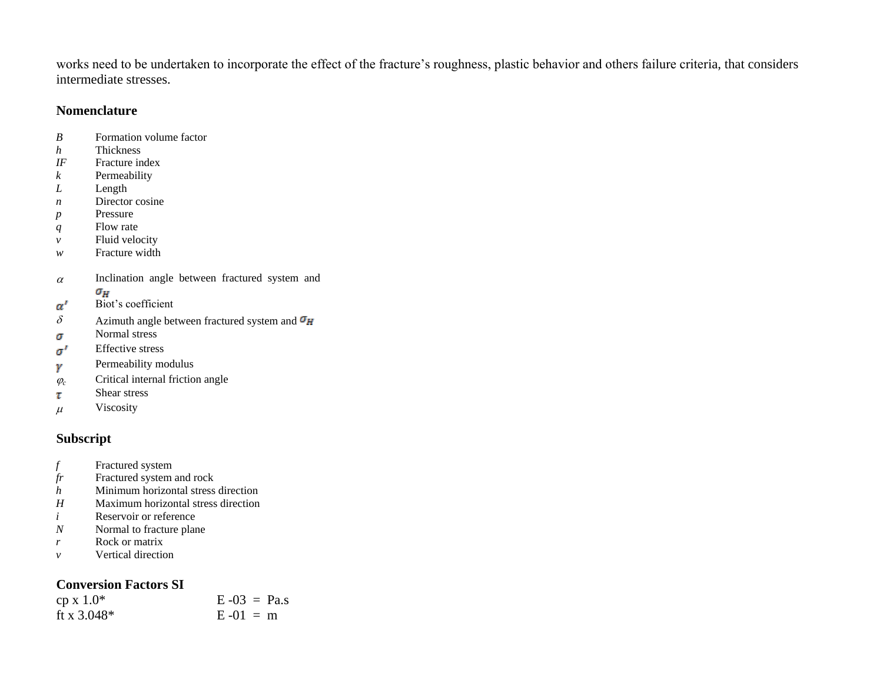works need to be undertaken to incorporate the effect of the fracture's roughness, plastic behavior and others failure criteria, that considers intermediate stresses.

### **Nomenclature**

- *B* Formation volume factor
- *h* Thickness
- *IF* Fracture index
- *k* Permeability
- *L* Length
- *n* Director cosine
- p Pressure
- *q* Flow rate
- *v* Fluid velocity
- *w* Fracture width
- $\alpha$  Inclination angle between fractured system and  $\sigma_H$
- Biot's coefficient  $\alpha'$
- $\delta$  Azimuth angle between fractured system and  $\sigma_H$
- Normal stress σ
- Effective stress  $\sigma'$
- Permeability modulus γ
- $\varphi_c$  Critical internal friction angle
- Shear stress τ
- $\mu$  Viscosity

## **Subscript**

- *f* Fractured system
- *fr* Fractured system and rock
- *h* Minimum horizontal stress direction
- *H* Maximum horizontal stress direction
- *i* Reservoir or reference
- *N* Normal to fracture plane
- *r* Rock or matrix
- *v* Vertical direction

## **Conversion Factors SI**

| $cp x 1.0*$   | $E - 03 = Pa.s$ |
|---------------|-----------------|
| ft x $3.048*$ | $E - 01 = m$    |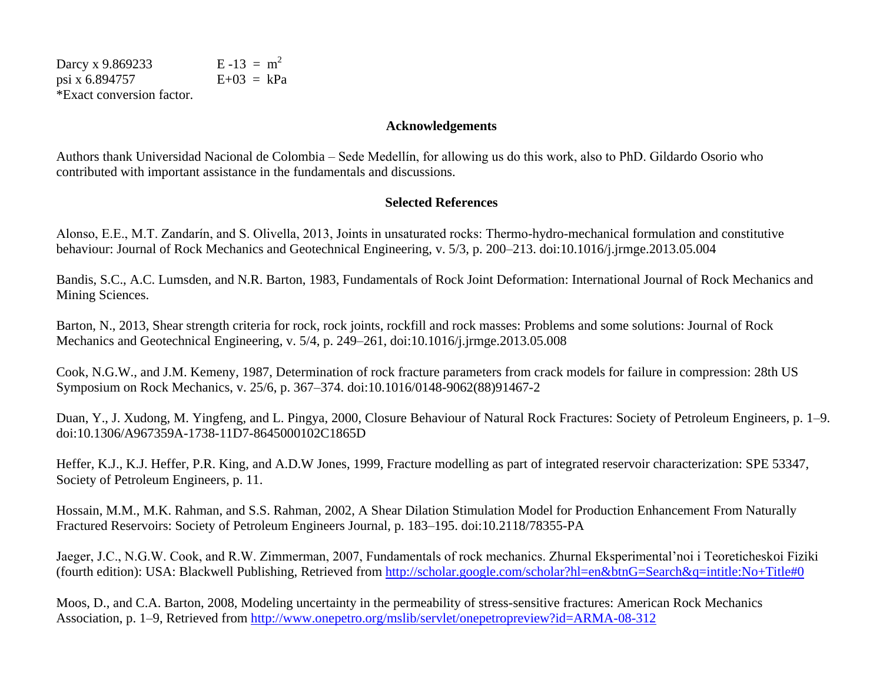Darcy x 9.869233 E -13 =  $m^2$ psi x 6.894757  $E+03 = kPa$ \*Exact conversion factor.

#### **Acknowledgements**

Authors thank Universidad Nacional de Colombia – Sede Medellín, for allowing us do this work, also to PhD. Gildardo Osorio who contributed with important assistance in the fundamentals and discussions.

### **Selected References**

Alonso, E.E., M.T. Zandarín, and S. Olivella, 2013, Joints in unsaturated rocks: Thermo-hydro-mechanical formulation and constitutive behaviour: Journal of Rock Mechanics and Geotechnical Engineering, v. 5/3, p. 200–213. doi:10.1016/j.jrmge.2013.05.004

Bandis, S.C., A.C. Lumsden, and N.R. Barton, 1983, Fundamentals of Rock Joint Deformation: International Journal of Rock Mechanics and Mining Sciences.

Barton, N., 2013, Shear strength criteria for rock, rock joints, rockfill and rock masses: Problems and some solutions: Journal of Rock Mechanics and Geotechnical Engineering, v. 5/4, p. 249–261, doi:10.1016/j.jrmge.2013.05.008

Cook, N.G.W., and J.M. Kemeny, 1987, Determination of rock fracture parameters from crack models for failure in compression: 28th US Symposium on Rock Mechanics, v. 25/6, p. 367–374. doi:10.1016/0148-9062(88)91467-2

Duan, Y., J. Xudong, M. Yingfeng, and L. Pingya, 2000, Closure Behaviour of Natural Rock Fractures: Society of Petroleum Engineers, p. 1–9. doi:10.1306/A967359A-1738-11D7-8645000102C1865D

Heffer, K.J., K.J. Heffer, P.R. King, and A.D.W Jones, 1999, Fracture modelling as part of integrated reservoir characterization: SPE 53347, Society of Petroleum Engineers, p. 11.

Hossain, M.M., M.K. Rahman, and S.S. Rahman, 2002, A Shear Dilation Stimulation Model for Production Enhancement From Naturally Fractured Reservoirs: Society of Petroleum Engineers Journal, p. 183–195. doi:10.2118/78355-PA

Jaeger, J.C., N.G.W. Cook, and R.W. Zimmerman, 2007, Fundamentals of rock mechanics. Zhurnal Eksperimental'noi i Teoreticheskoi Fiziki (fourth edition): USA: Blackwell Publishing, Retrieved from<http://scholar.google.com/scholar?hl=en&btnG=Search&q=intitle:No+Title#0>

Moos, D., and C.A. Barton, 2008, Modeling uncertainty in the permeability of stress-sensitive fractures: American Rock Mechanics Association, p. 1–9, Retrieved from<http://www.onepetro.org/mslib/servlet/onepetropreview?id=ARMA-08-312>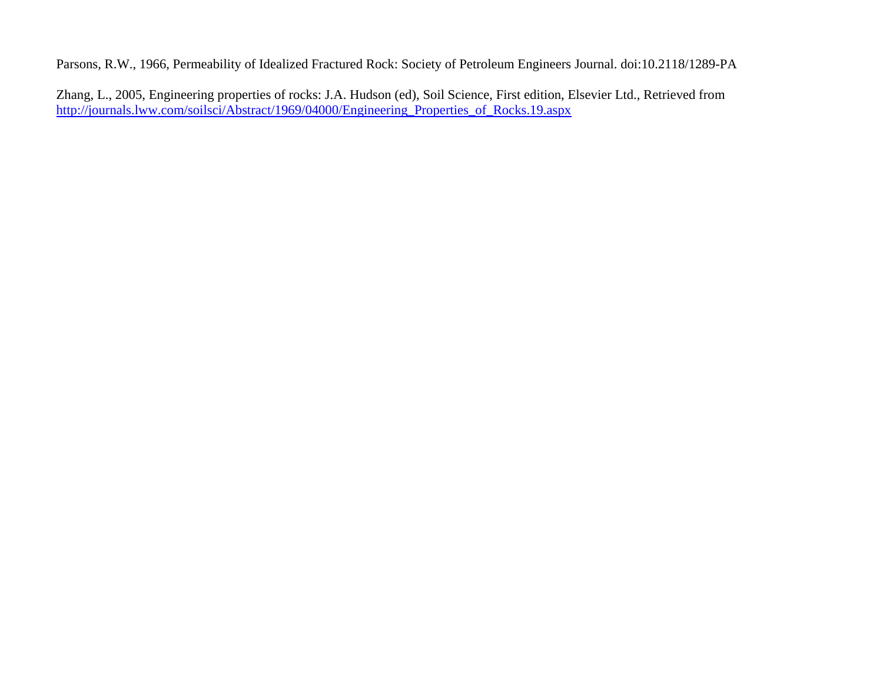Parsons, R.W., 1966, Permeability of Idealized Fractured Rock: Society of Petroleum Engineers Journal. doi:10.2118/1289-PA

Zhang, L., 2005, Engineering properties of rocks: J.A. Hudson (ed), Soil Science, First edition, Elsevier Ltd., Retrieved from [http://journals.lww.com/soilsci/Abstract/1969/04000/Engineering\\_Properties\\_of\\_Rocks.19.aspx](http://journals.lww.com/soilsci/Abstract/1969/04000/Engineering_Properties_of_Rocks.19.aspx)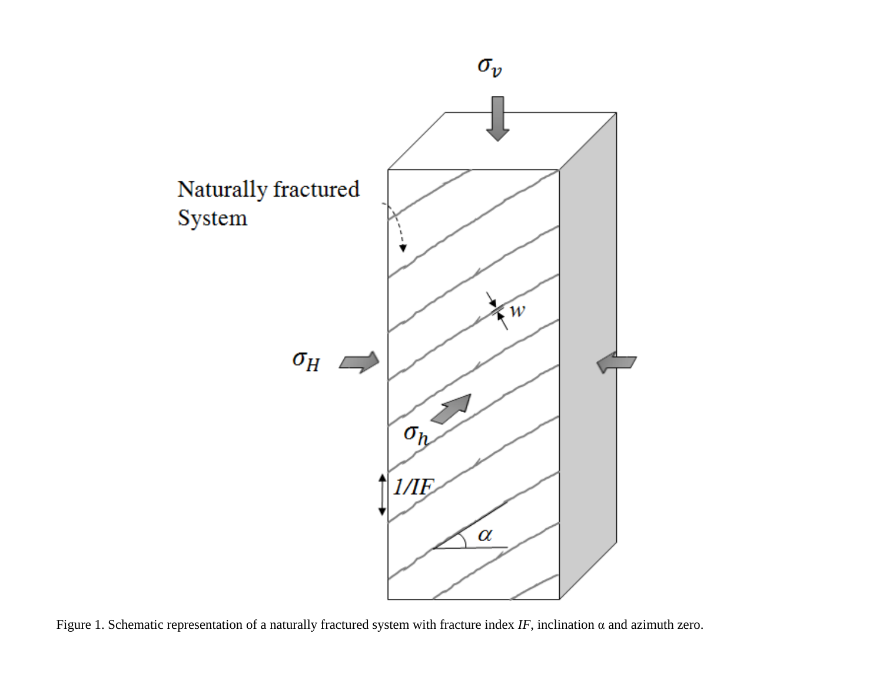<span id="page-10-0"></span>

Figure 1. Schematic representation of a naturally fractured system with fracture index  $IF$ , inclination  $\alpha$  and azimuth zero.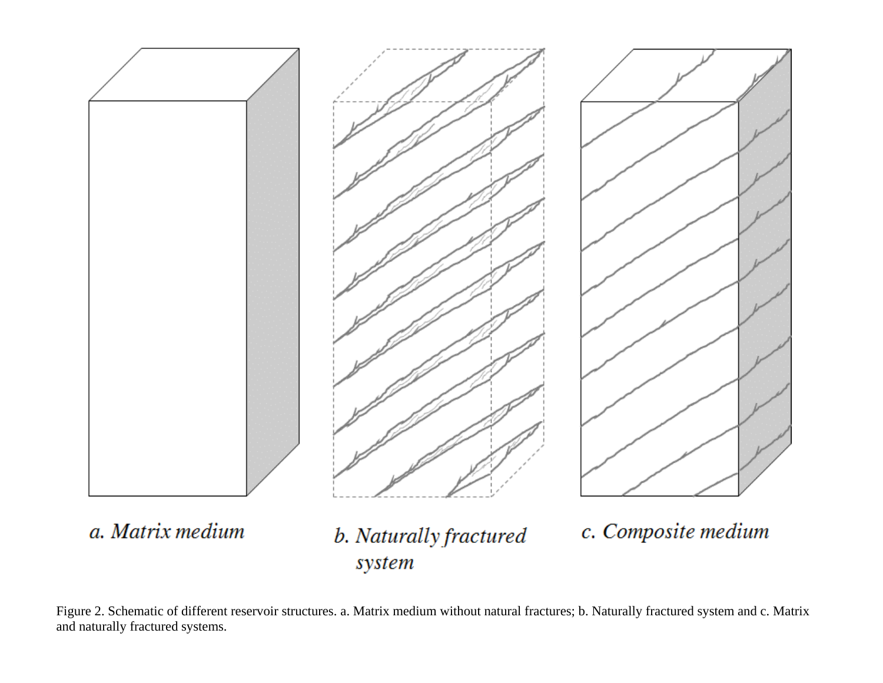<span id="page-11-0"></span>

Figure 2. Schematic of different reservoir structures. a. Matrix medium without natural fractures; b. Naturally fractured system and c. Matrix and naturally fractured systems.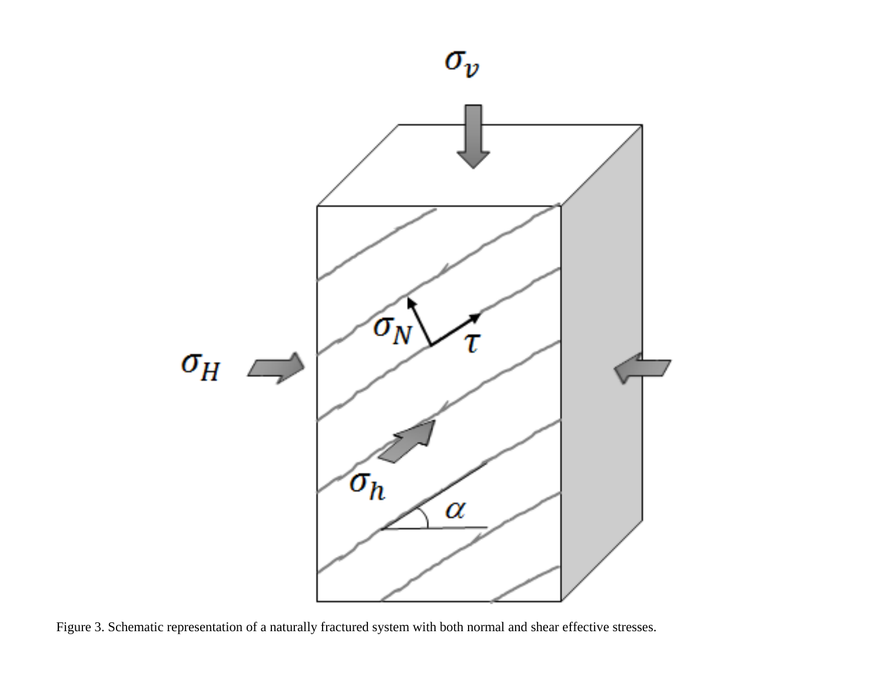

<span id="page-12-0"></span>

Figure 3. Schematic representation of a naturally fractured system with both normal and shear effective stresses.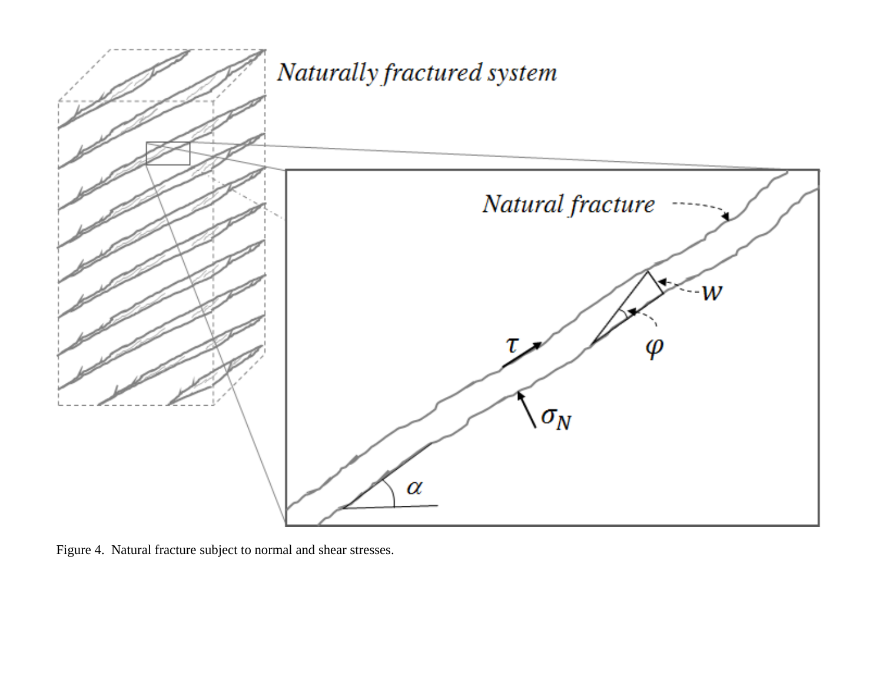<span id="page-13-0"></span>

Figure 4. Natural fracture subject to normal and shear stresses.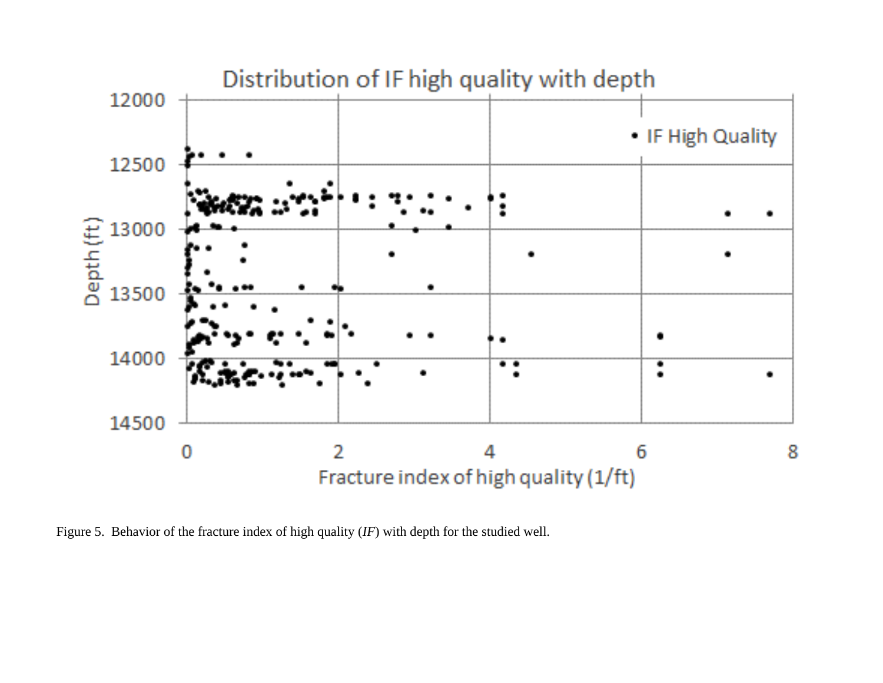<span id="page-14-0"></span>

Figure 5. Behavior of the fracture index of high quality (*IF*) with depth for the studied well.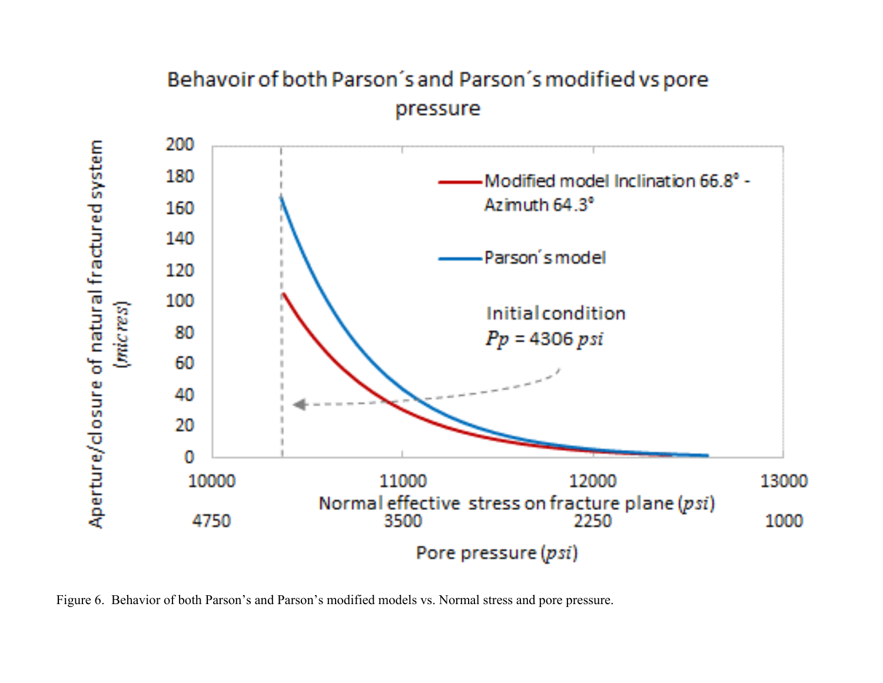## Behavoir of both Parson's and Parson's modified vs pore pressure

<span id="page-15-0"></span>

Figure 6. Behavior of both Parson's and Parson's modified models vs. Normal stress and pore pressure.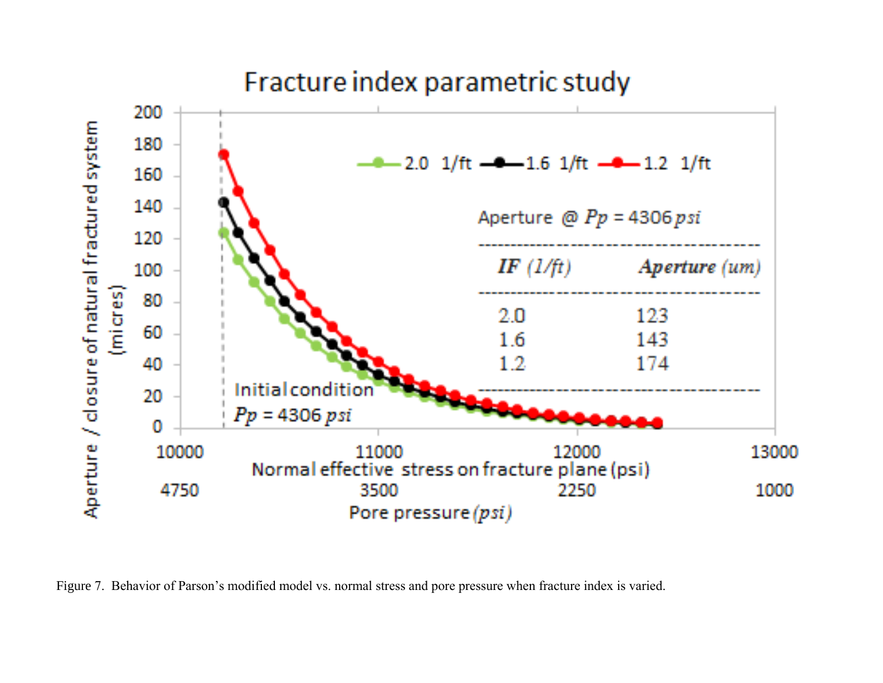## Fracture index parametric study

<span id="page-16-0"></span>

Figure 7. Behavior of Parson's modified model vs. normal stress and pore pressure when fracture index is varied.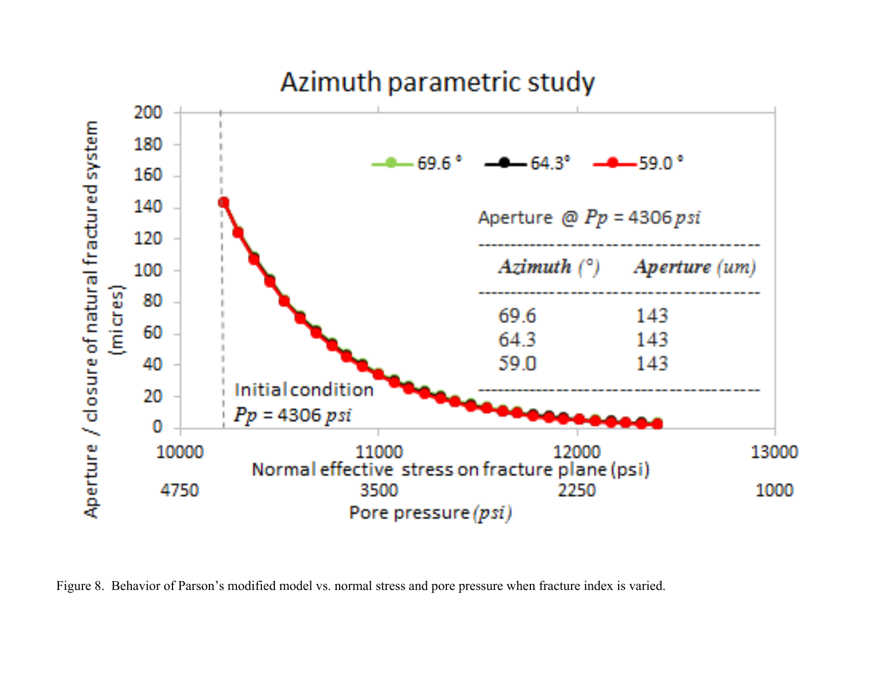# Azimuth parametric study

<span id="page-17-0"></span>

Figure 8. Behavior of Parson's modified model vs. normal stress and pore pressure when fracture index is varied.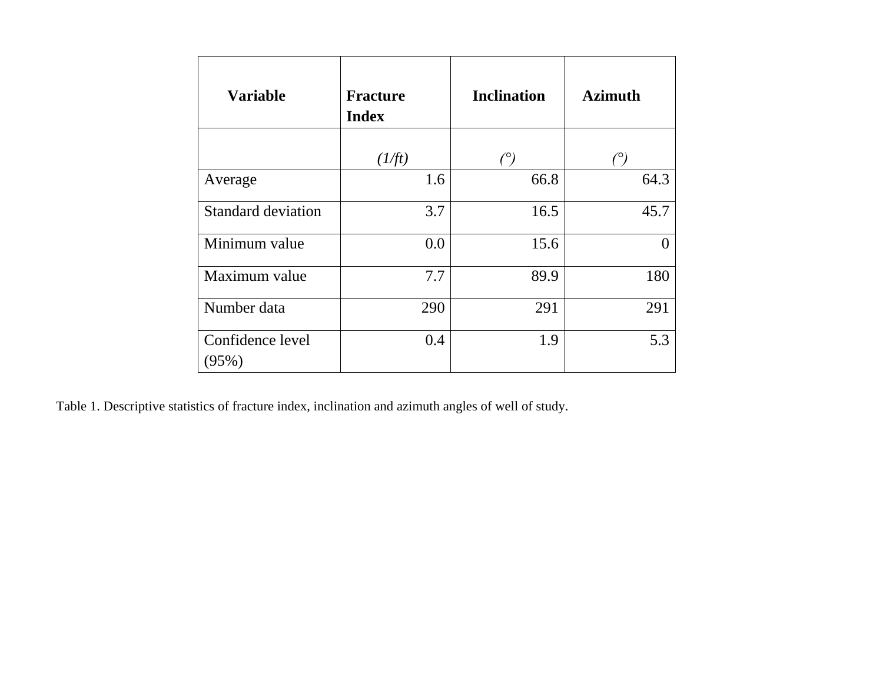<span id="page-18-0"></span>

| <b>Variable</b>           | <b>Fracture</b><br><b>Index</b> | <b>Inclination</b> | <b>Azimuth</b>    |
|---------------------------|---------------------------------|--------------------|-------------------|
|                           | (1/ft)                          | $(^\circ)$         | $(^\circ)$        |
| Average                   | 1.6                             | 66.8               | 64.3              |
| <b>Standard deviation</b> | 3.7                             | 16.5               | 45.7              |
| Minimum value             | 0.0                             | 15.6               | $\mathbf{\Omega}$ |
| Maximum value             | 7.7                             | 89.9               | 180               |
| Number data               | 290                             | 291                | 291               |
| Confidence level<br>(95%) | 0.4                             | 1.9                | 5.3               |

Table 1. Descriptive statistics of fracture index, inclination and azimuth angles of well of study.